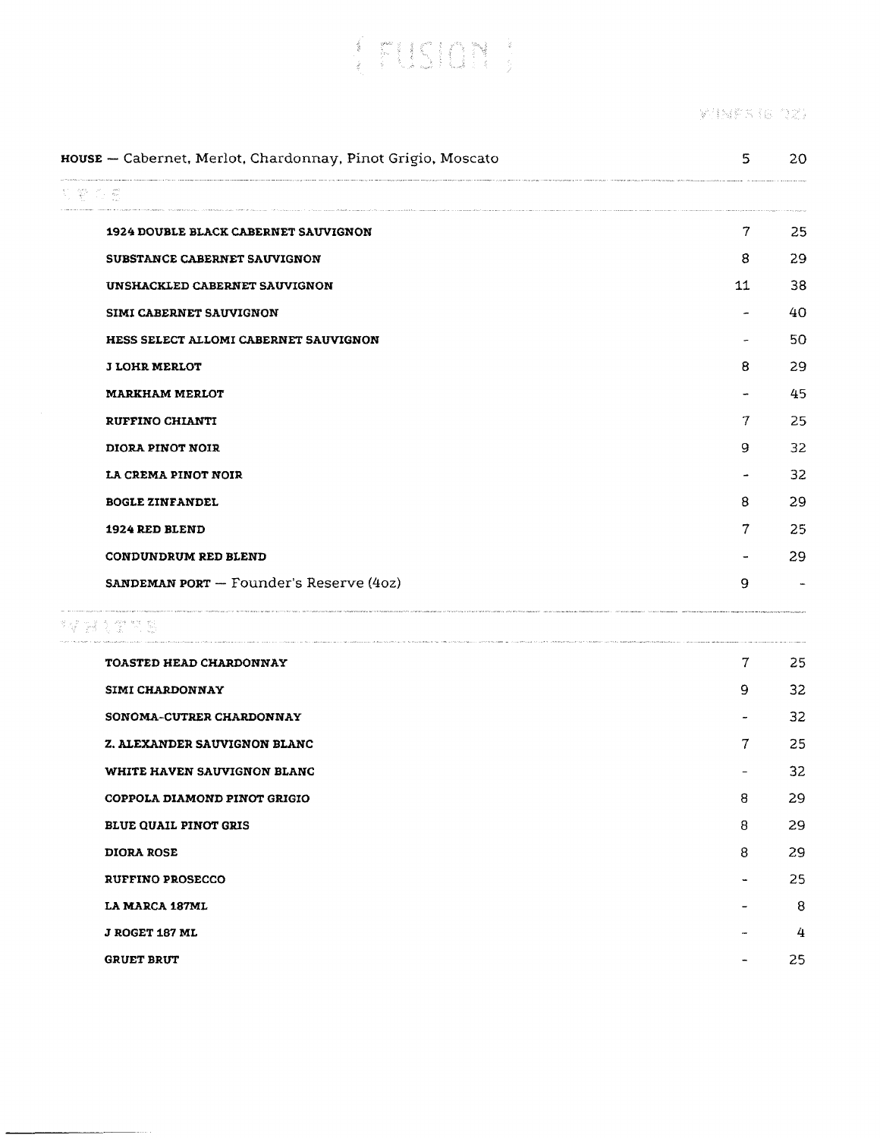[FUSION]

**XINFA (6 02)** 

|      | HOUSE - Cabernet, Merlot, Chardonnay, Pinot Grigio, Moscato                                                         | 5                        | 20 |
|------|---------------------------------------------------------------------------------------------------------------------|--------------------------|----|
| 网络亚恩 | .<br>In the compact of the basic compact of all company of the second approved and company and interference popular |                          |    |
|      | 1924 DOUBLE BLACK CABERNET SAUVIGNON                                                                                | $7 \sim$                 | 25 |
|      | SUBSTANCE CABERNET SAUVIGNON                                                                                        | 8                        | 29 |
|      | UNSHACKLED CABERNET SAUVIGNON                                                                                       | 11                       | 38 |
|      | SIMI CABERNET SAUVIGNON                                                                                             | ۰                        | 40 |
|      | HESS SELECT ALLOMI CABERNET SAUVIGNON                                                                               | -                        | 50 |
|      | <b>J LOHR MERLOT</b>                                                                                                | 8                        | 29 |
|      | <b>MARKHAM MERLOT</b>                                                                                               |                          | 45 |
|      | RUFFINO CHIANTI                                                                                                     | 7                        | 25 |
|      | DIORA PINOT NOIR                                                                                                    | 9                        | 32 |
|      | LA CREMA PINOT NOIR                                                                                                 | $\overline{\phantom{a}}$ | 32 |
|      | <b>BOGLE ZINFANDEL</b>                                                                                              | 8                        | 29 |
|      | 1924 RED BLEND                                                                                                      | 7.                       | 25 |
|      | CONDUNDRUM RED BLEND                                                                                                |                          | 29 |
|      | <b>SANDEMAN PORT</b> - Founder's Reserve (4oz)                                                                      | 9                        |    |
|      | *# 21 전쟁                                                                                                            |                          |    |
|      | TOASTED HEAD CHARDONNAY                                                                                             | $7 \quad \text{ }$       | 25 |
|      | <b>SIMI CHARDONNAY</b>                                                                                              | 9                        | 32 |
|      | SONOMA-CUTRER CHARDONNAY                                                                                            |                          | 32 |
|      | <b>Z. ALEXANDER SAUVIGNON BLANC</b>                                                                                 | 7                        | 25 |
|      | WHITE HAVEN SAUVIGNON BLANC                                                                                         |                          | 32 |
|      | COPPOLA DIAMOND PINOT GRIGIO                                                                                        | 8                        | 29 |
|      | <b>BLUE QUAIL PINOT GRIS</b>                                                                                        | 8                        | 29 |
|      | <b>DIORA ROSE</b>                                                                                                   | 8                        | 29 |
|      | <b>RUFFINO PROSECCO</b>                                                                                             |                          | 25 |
|      | <b>LA MARCA 187ML</b>                                                                                               |                          | 8  |
|      | <b>J ROGET 187 ML</b>                                                                                               |                          | 4  |
|      | <b>GRUET BRUT</b>                                                                                                   |                          | 25 |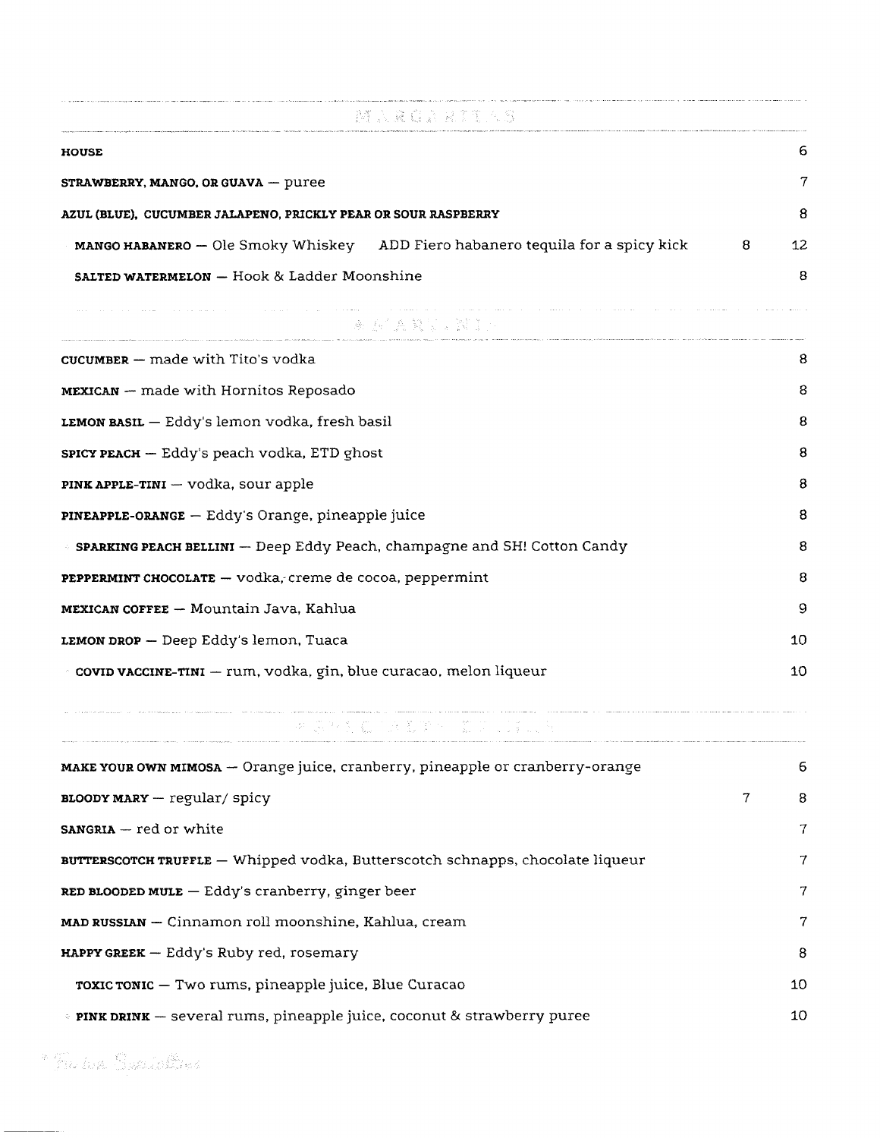| - 一 蹲 入 発 負 入 見 測 (人 5)                                                        |   |    |
|--------------------------------------------------------------------------------|---|----|
| <b>HOUSE</b>                                                                   |   | 6  |
| STRAWBERRY, MANGO, OR GUAVA - puree                                            |   | 7  |
| AZUL (BLUE), CUCUMBER JALAPENO, PRICKLY PEAR OR SOUR RASPBERRY                 |   | 8  |
| MANGO HABANERO - Ole Smoky Whiskey ADD Fiero habanero tequila for a spicy kick | 8 | 12 |
| SALTED WATERMELON - Hook & Ladder Moonshine                                    |   | 8  |
| 第三章 医鼻翼炎 紧急                                                                    |   |    |
| CUCUMBER $-$ made with Tito's vodka                                            |   | 8  |
| <b>MEXICAN</b> – made with Hornitos Reposado                                   |   | 8  |
| LEMON BASIL - Eddy's lemon vodka, fresh basil                                  |   | 8  |
| SPICY PEACH - Eddy's peach vodka, ETD ghost                                    |   | 8  |
| $PINK APPLE-TINI - vodka$ , sour apple                                         |   | 8  |
| PINEAPPLE-ORANGE - Eddy's Orange, pineapple juice                              |   | 8  |
| SPARKING PEACH BELLINI - Deep Eddy Peach, champagne and SH! Cotton Candy       |   | 8  |
| PEPPERMINT CHOCOLATE - vodka, creme de cocoa, peppermint                       |   | 8  |
| <b>MEXICAN COFFEE - Mountain Java, Kahlua</b>                                  |   | 9  |
| $LEMON DROP$ - Deep Eddy's lemon, Tuaca                                        |   | 10 |
| covid vaccine-TINI - rum, vodka, gin, blue curacao, melon liqueur              |   | 10 |

 $\overline{P}$  ,  $\overline{P}$  ,  $\overline{P}$  ,  $\overline{P}$  ,  $\overline{P}$ A LIPS  $\label{eq:1} \begin{array}{l} \left(\begin{array}{cc} 0 & 0 \\ 0 & 0 \end{array}\right) & \text{if} \quad \mathbf{u} \in \mathbb{R}^n \times \mathbb{R}^n. \end{array}$ 

|   | 6  |
|---|----|
| 7 | 8  |
|   | 7  |
|   | 7  |
|   | 7  |
|   | 7  |
|   | -8 |
|   | 10 |
|   | 10 |
|   |    |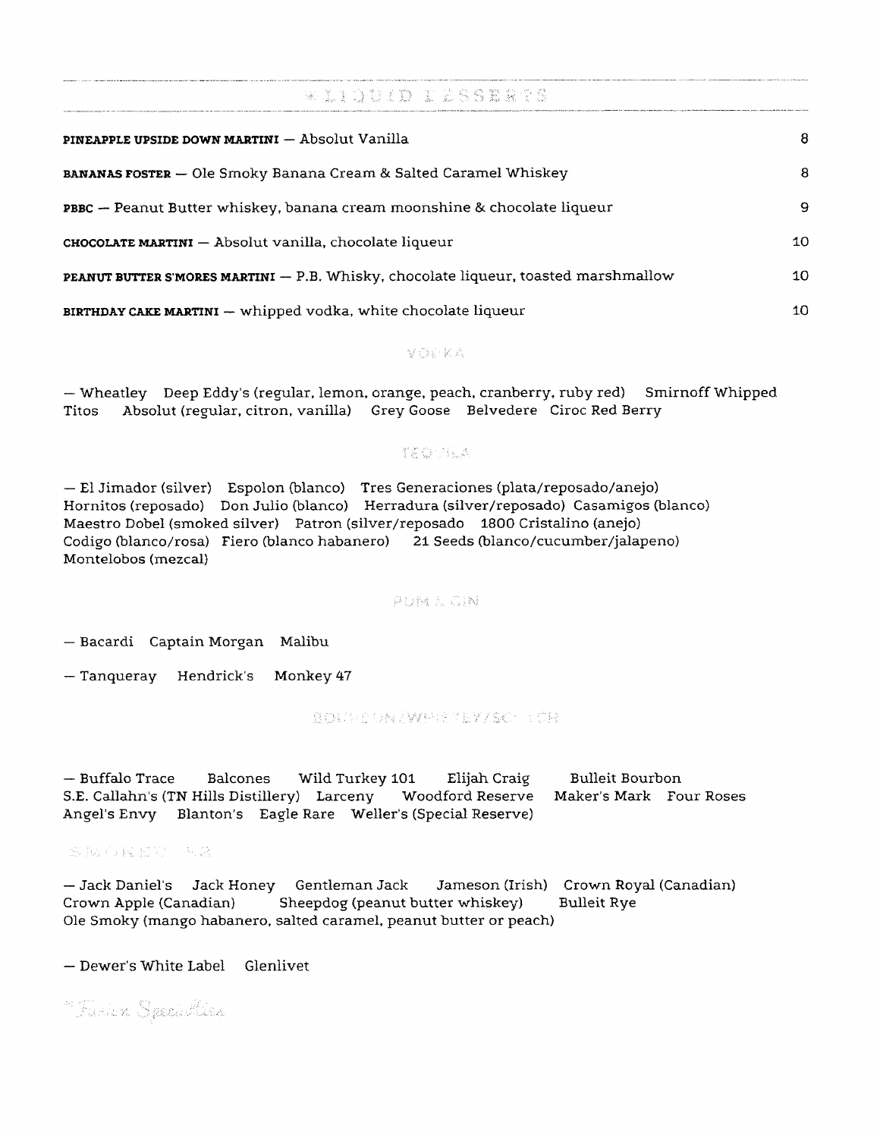$\ast$  11001D 116692273 PINEAPPLE UPSIDE DOWN MARTINI - Absolut Vanilla 8 BANANAS FOSTER - Ole Smoky Banana Cream & Salted Caramel Whiskey 8 PBBC - Peanut Butter whiskey, banana cream moonshine & chocolate liqueur 9 CHOCOLATE MARTINI - Absolut vanilla, chocolate liqueur 10 PEANUT BUTTER S'MORES MARTINI - P.B. Whisky, chocolate liqueur, toasted marshmallow 10 BIRTHDAY CAKE MARTINI - whipped vodka, white chocolate liqueur 10

VOO KA

- Wheatley Deep Eddy's (regular, lemon, orange, peach, cranberry, ruby red) Smirnoff Whipped Absolut (regular, citron, vanilla) Grey Goose Belvedere Ciroc Red Berry Titos

### TEGUILA

- El Jimador (silver) Espolon (blanco) Tres Generaciones (plata/reposado/anejo) Hornitos (reposado) Don Julio (blanco) Herradura (silver/reposado) Casamigos (blanco) Maestro Dobel (smoked silver) Patron (silver/reposado 1800 Cristalino (anejo) Codigo (blanco/rosa) Fiero (blanco habanero) 21 Seeds (blanco/cucumber/jalapeno) Montelobos (mezcal)

#### **PUM & GIN**

- Bacardi Captain Morgan Malibu

- Tanqueray Hendrick's Monkey 47

#### **BOUNGANYMESSEY/SOUTON**

— Buffalo Trace **Bulleit Bourbon Balcones** Wild Turkey 101 Elijah Craig Woodford Reserve Maker's Mark Four Roses S.E. Callahn's (TN Hills Distillery) Larceny Angel's Envy Blanton's Eagle Rare Weller's (Special Reserve)

SNGQISH RA

- Jack Daniel's Jack Honey Gentleman Jack Jameson (Irish) Crown Royal (Canadian) Sheepdog (peanut butter whiskey) **Bulleit Rye** Crown Apple (Canadian) Ole Smoky (mango habanero, salted caramel, peanut butter or peach)

- Dewer's White Label Glenlivet

<sup>m</sup> Tumick Speelaflies